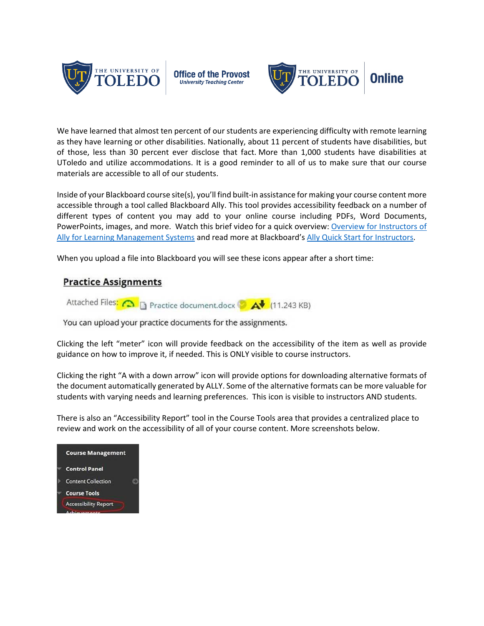

**Office of the Provost University Teaching Center** 



We have learned that almost ten percent of our students are experiencing difficulty with remote learning as they have learning or other disabilities. Nationally, about 11 percent of students have disabilities, but of those, less than 30 percent ever disclose that fact. More than 1,000 students have disabilities at UToledo and utilize accommodations. It is a good reminder to all of us to make sure that our course materials are accessible to all of our students.

Inside of your Blackboard course site(s), you'll find built-in assistance for making your course content more accessible through a tool called Blackboard Ally. This tool provides accessibility feedback on a number of different types of content you may add to your online course including PDFs, Word Documents, PowerPoints, images, and more. Watch this brief video for a quick overview: [Overview for Instructors of](https://youtu.be/CnuM8NFvu_M)  [Ally for Learning Management Systems](https://youtu.be/CnuM8NFvu_M) and read more at Blackboard's [Ally Quick Start for Instructors.](https://help.blackboard.com/Ally/Ally_for_LMS/Instructor/Quick_Start)

When you upload a file into Blackboard you will see these icons appear after a short time:

## **Practice Assignments**



You can upload your practice documents for the assignments.

Clicking the left "meter" icon will provide feedback on the accessibility of the item as well as provide guidance on how to improve it, if needed. This is ONLY visible to course instructors.

Clicking the right "A with a down arrow" icon will provide options for downloading alternative formats of the document automatically generated by ALLY. Some of the alternative formats can be more valuable for students with varying needs and learning preferences. This icon is visible to instructors AND students.

There is also an "Accessibility Report" tool in the Course Tools area that provides a centralized place to review and work on the accessibility of all of your course content. More screenshots below.

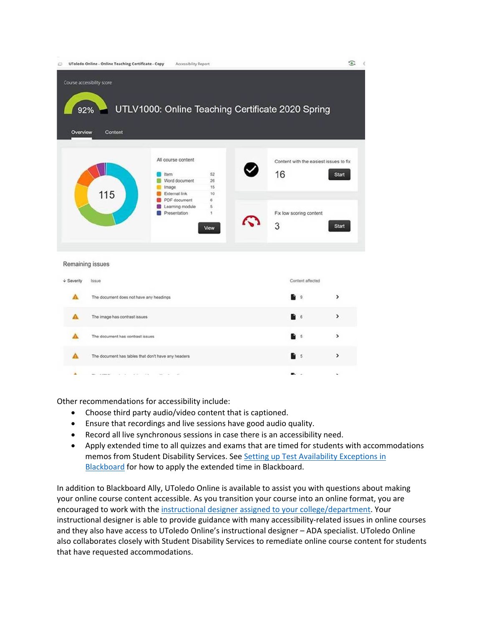|            | UToledo Online - Online Teaching Certificate - Copy | Accessibility Report                                                                                                     |                                             |  |                                                                              | ⊙                            |
|------------|-----------------------------------------------------|--------------------------------------------------------------------------------------------------------------------------|---------------------------------------------|--|------------------------------------------------------------------------------|------------------------------|
| Overview   | Course accessibility score<br>92%<br>Content        | UTLV1000: Online Teaching Certificate 2020 Spring                                                                        |                                             |  |                                                                              |                              |
|            | 115                                                 | All course content<br>Item<br>Word document<br>Image<br>External link<br>PDF document<br>Learning module<br>Presentation | 52<br>26<br>15<br>10<br>6<br>5<br>1<br>View |  | Content with the easiest issues to fix<br>16<br>Fix low scoring content<br>3 | <b>Start</b><br><b>Start</b> |
|            | Remaining issues                                    |                                                                                                                          |                                             |  |                                                                              |                              |
| + Severity | Issue                                               |                                                                                                                          |                                             |  | Content affected                                                             |                              |
|            | The document does not have any headings             |                                                                                                                          |                                             |  | $\mathbf{Q}$                                                                 | >                            |
| А          | The image has contrast issues                       |                                                                                                                          |                                             |  | 6                                                                            | ⋋                            |
|            | The document has contrast issues                    |                                                                                                                          |                                             |  | 5                                                                            | >                            |
|            | The document has tables that don't have any headers |                                                                                                                          |                                             |  | 5                                                                            | >                            |
|            | College Art<br>$-7.8$                               |                                                                                                                          |                                             |  | . .                                                                          | $\ddot{\phantom{1}}$         |

Other recommendations for accessibility include:

- Choose third party audio/video content that is captioned.
- Ensure that recordings and live sessions have good audio quality.
- Record all live synchronous sessions in case there is an accessibility need.
- Apply extended time to all quizzes and exams that are timed for students with accommodations memos from Student Disability Services. See [Setting up Test Availability Exceptions in](https://utlv.screenstepslive.com/s/faculty/m/BlackboardLearn/l/185478-setting-up-test-availability-exceptions)  [Blackboard](https://utlv.screenstepslive.com/s/faculty/m/BlackboardLearn/l/185478-setting-up-test-availability-exceptions) for how to apply the extended time in Blackboard.

In addition to Blackboard Ally, UToledo Online is available to assist you with questions about making your online course content accessible. As you transition your course into an online format, you are encouraged to work with the [instructional designer assigned to your college/department.](https://www.utoledo.edu/dl/faculty/faculty_pdf/who-is-my-ID.pdf) Your instructional designer is able to provide guidance with many accessibility-related issues in online courses and they also have access to UToledo Online's instructional designer – ADA specialist. UToledo Online also collaborates closely with Student Disability Services to remediate online course content for students that have requested accommodations.